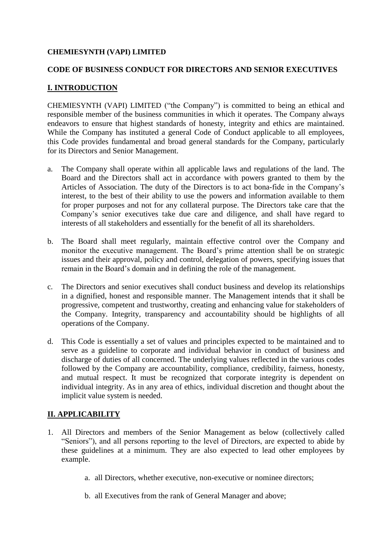### **CHEMIESYNTH (VAPI) LIMITED**

### **CODE OF BUSINESS CONDUCT FOR DIRECTORS AND SENIOR EXECUTIVES**

# **I. INTRODUCTION**

CHEMIESYNTH (VAPI) LIMITED ("the Company") is committed to being an ethical and responsible member of the business communities in which it operates. The Company always endeavors to ensure that highest standards of honesty, integrity and ethics are maintained. While the Company has instituted a general Code of Conduct applicable to all employees, this Code provides fundamental and broad general standards for the Company, particularly for its Directors and Senior Management.

- a. The Company shall operate within all applicable laws and regulations of the land. The Board and the Directors shall act in accordance with powers granted to them by the Articles of Association. The duty of the Directors is to act bona-fide in the Company's interest, to the best of their ability to use the powers and information available to them for proper purposes and not for any collateral purpose. The Directors take care that the Company's senior executives take due care and diligence, and shall have regard to interests of all stakeholders and essentially for the benefit of all its shareholders.
- b. The Board shall meet regularly, maintain effective control over the Company and monitor the executive management. The Board's prime attention shall be on strategic issues and their approval, policy and control, delegation of powers, specifying issues that remain in the Board's domain and in defining the role of the management.
- c. The Directors and senior executives shall conduct business and develop its relationships in a dignified, honest and responsible manner. The Management intends that it shall be progressive, competent and trustworthy, creating and enhancing value for stakeholders of the Company. Integrity, transparency and accountability should be highlights of all operations of the Company.
- d. This Code is essentially a set of values and principles expected to be maintained and to serve as a guideline to corporate and individual behavior in conduct of business and discharge of duties of all concerned. The underlying values reflected in the various codes followed by the Company are accountability, compliance, credibility, fairness, honesty, and mutual respect. It must be recognized that corporate integrity is dependent on individual integrity. As in any area of ethics, individual discretion and thought about the implicit value system is needed.

# **II. APPLICABILITY**

- 1. All Directors and members of the Senior Management as below (collectively called "Seniors"), and all persons reporting to the level of Directors, are expected to abide by these guidelines at a minimum. They are also expected to lead other employees by example.
	- a. all Directors, whether executive, non-executive or nominee directors;
	- b. all Executives from the rank of General Manager and above;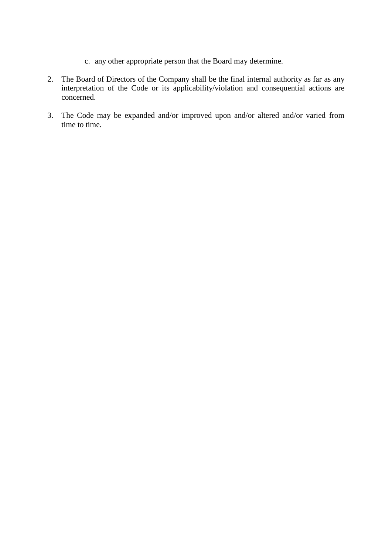- c. any other appropriate person that the Board may determine.
- 2. The Board of Directors of the Company shall be the final internal authority as far as any interpretation of the Code or its applicability/violation and consequential actions are concerned.
- 3. The Code may be expanded and/or improved upon and/or altered and/or varied from time to time.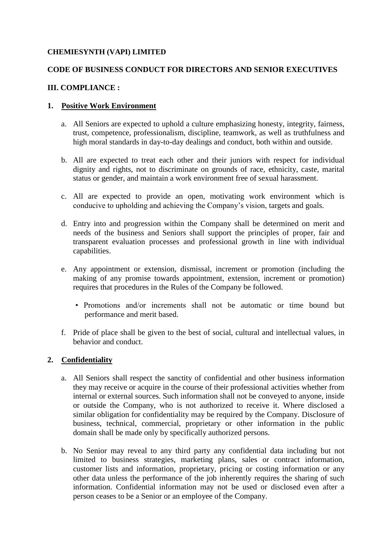### **CHEMIESYNTH (VAPI) LIMITED**

# **CODE OF BUSINESS CONDUCT FOR DIRECTORS AND SENIOR EXECUTIVES**

### **III. COMPLIANCE :**

### **1. Positive Work Environment**

- a. All Seniors are expected to uphold a culture emphasizing honesty, integrity, fairness, trust, competence, professionalism, discipline, teamwork, as well as truthfulness and high moral standards in day-to-day dealings and conduct, both within and outside.
- b. All are expected to treat each other and their juniors with respect for individual dignity and rights, not to discriminate on grounds of race, ethnicity, caste, marital status or gender, and maintain a work environment free of sexual harassment.
- c. All are expected to provide an open, motivating work environment which is conducive to upholding and achieving the Company's vision, targets and goals.
- d. Entry into and progression within the Company shall be determined on merit and needs of the business and Seniors shall support the principles of proper, fair and transparent evaluation processes and professional growth in line with individual capabilities.
- e. Any appointment or extension, dismissal, increment or promotion (including the making of any promise towards appointment, extension, increment or promotion) requires that procedures in the Rules of the Company be followed.
	- Promotions and/or increments shall not be automatic or time bound but performance and merit based.
- f. Pride of place shall be given to the best of social, cultural and intellectual values, in behavior and conduct.

# **2. Confidentiality**

- a. All Seniors shall respect the sanctity of confidential and other business information they may receive or acquire in the course of their professional activities whether from internal or external sources. Such information shall not be conveyed to anyone, inside or outside the Company, who is not authorized to receive it. Where disclosed a similar obligation for confidentiality may be required by the Company. Disclosure of business, technical, commercial, proprietary or other information in the public domain shall be made only by specifically authorized persons.
- b. No Senior may reveal to any third party any confidential data including but not limited to business strategies, marketing plans, sales or contract information, customer lists and information, proprietary, pricing or costing information or any other data unless the performance of the job inherently requires the sharing of such information. Confidential information may not be used or disclosed even after a person ceases to be a Senior or an employee of the Company.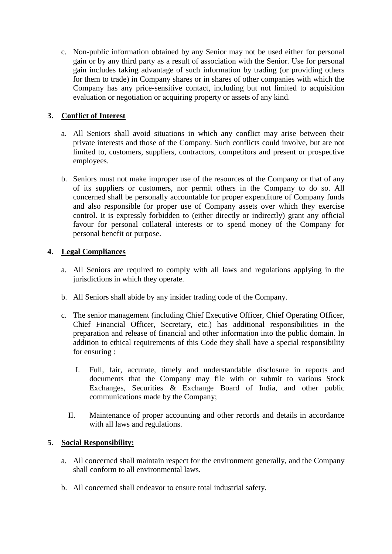c. Non-public information obtained by any Senior may not be used either for personal gain or by any third party as a result of association with the Senior. Use for personal gain includes taking advantage of such information by trading (or providing others for them to trade) in Company shares or in shares of other companies with which the Company has any price-sensitive contact, including but not limited to acquisition evaluation or negotiation or acquiring property or assets of any kind.

# **3. Conflict of Interest**

- a. All Seniors shall avoid situations in which any conflict may arise between their private interests and those of the Company. Such conflicts could involve, but are not limited to, customers, suppliers, contractors, competitors and present or prospective employees.
- b. Seniors must not make improper use of the resources of the Company or that of any of its suppliers or customers, nor permit others in the Company to do so. All concerned shall be personally accountable for proper expenditure of Company funds and also responsible for proper use of Company assets over which they exercise control. It is expressly forbidden to (either directly or indirectly) grant any official favour for personal collateral interests or to spend money of the Company for personal benefit or purpose.

# **4. Legal Compliances**

- a. All Seniors are required to comply with all laws and regulations applying in the jurisdictions in which they operate.
- b. All Seniors shall abide by any insider trading code of the Company.
- c. The senior management (including Chief Executive Officer, Chief Operating Officer, Chief Financial Officer, Secretary, etc.) has additional responsibilities in the preparation and release of financial and other information into the public domain. In addition to ethical requirements of this Code they shall have a special responsibility for ensuring :
	- I. Full, fair, accurate, timely and understandable disclosure in reports and documents that the Company may file with or submit to various Stock Exchanges, Securities & Exchange Board of India, and other public communications made by the Company;
	- II. Maintenance of proper accounting and other records and details in accordance with all laws and regulations.

# **5. Social Responsibility:**

- a. All concerned shall maintain respect for the environment generally, and the Company shall conform to all environmental laws.
- b. All concerned shall endeavor to ensure total industrial safety.